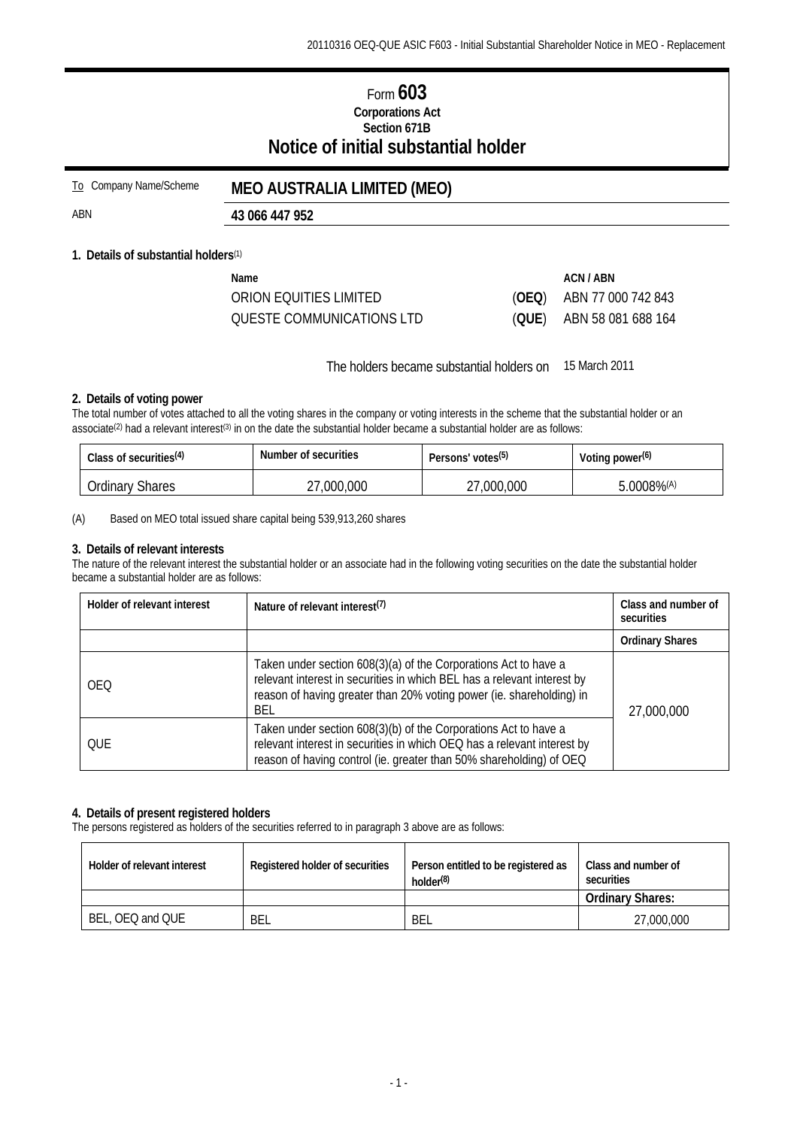# Form **603 Corporations Act Section 671B Notice of initial substantial holder**

# To Company Name/Scheme **MEO AUSTRALIA LIMITED (MEO)**

ABN **43 066 447 952** 

### **1. Details of substantial holders**(1)

| Name                      |       | ACN / ABN                  |
|---------------------------|-------|----------------------------|
| ORION EQUITIES LIMITED    | (OEQ) | ABN 77 000 742 843         |
| QUESTE COMMUNICATIONS LTD |       | $(QUE)$ ABN 58 081 688 164 |

The holders became substantial holders on 15 March 2011

### **2. Details of voting power**

The total number of votes attached to all the voting shares in the company or voting interests in the scheme that the substantial holder or an associate<sup>(2)</sup> had a relevant interest<sup>(3)</sup> in on the date the substantial holder became a substantial holder are as follows:

| Class of securities <sup>(4)</sup> | Number of securities | Persons' votes <sup>(5)</sup> | Voting power <sup>(6)</sup> |
|------------------------------------|----------------------|-------------------------------|-----------------------------|
| <b>Ordinary Shares</b>             | ,000,000             | ,000,000                      | $.0008\%$ <sup>(A)</sup>    |

(A) Based on MEO total issued share capital being 539,913,260 shares

#### **3. Details of relevant interests**

The nature of the relevant interest the substantial holder or an associate had in the following voting securities on the date the substantial holder became a substantial holder are as follows:

| Holder of relevant interest | Nature of relevant interest <sup>(7)</sup>                                                                                                                                                                                | Class and number of<br>securities |
|-----------------------------|---------------------------------------------------------------------------------------------------------------------------------------------------------------------------------------------------------------------------|-----------------------------------|
|                             |                                                                                                                                                                                                                           | <b>Ordinary Shares</b>            |
| <b>OEO</b>                  | Taken under section 608(3)(a) of the Corporations Act to have a<br>relevant interest in securities in which BEL has a relevant interest by<br>reason of having greater than 20% voting power (ie. shareholding) in<br>BEL | 27,000,000                        |
| OUE                         | Taken under section 608(3)(b) of the Corporations Act to have a<br>relevant interest in securities in which OEQ has a relevant interest by<br>reason of having control (ie. greater than 50% shareholding) of OEQ         |                                   |

#### **4. Details of present registered holders**

The persons registered as holders of the securities referred to in paragraph 3 above are as follows:

| Holder of relevant interest | Registered holder of securities | Person entitled to be registered as<br>holder <sup>(8)</sup> | Class and number of<br>securities |  |
|-----------------------------|---------------------------------|--------------------------------------------------------------|-----------------------------------|--|
|                             |                                 |                                                              | <b>Ordinary Shares:</b>           |  |
| BEL, OEQ and QUE            | BEL                             | BEL                                                          | 27,000,000                        |  |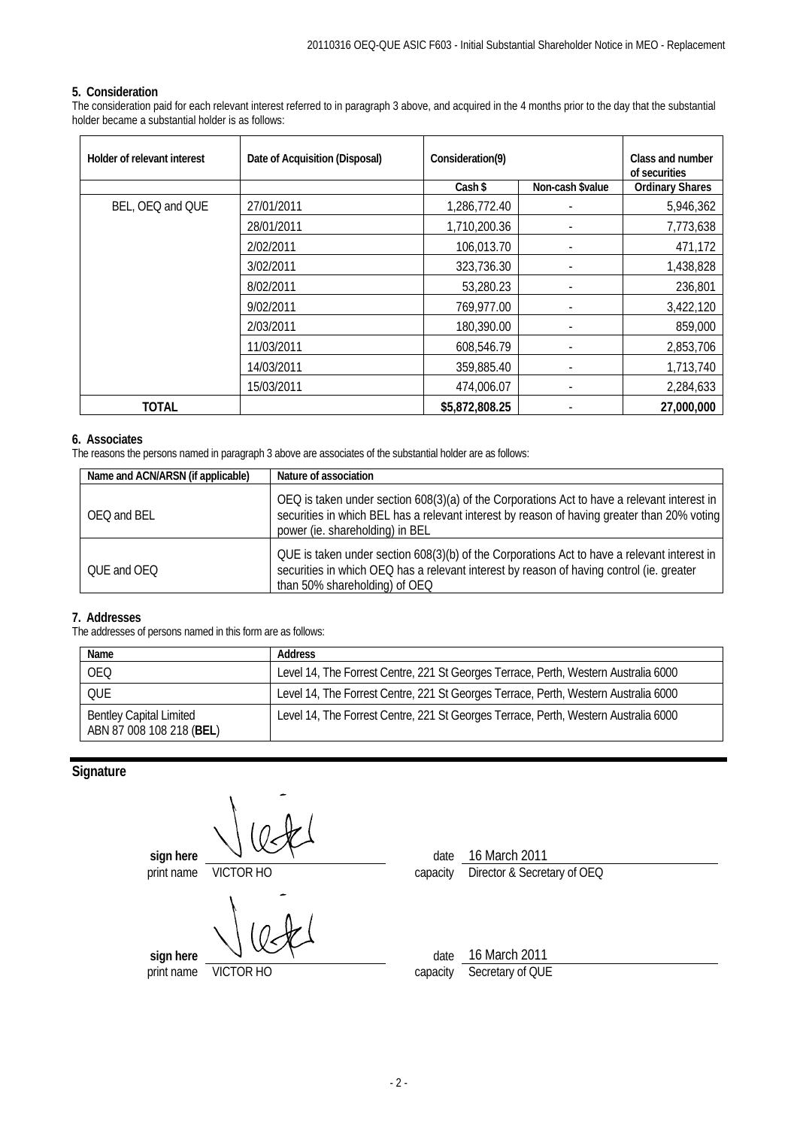### **5. Consideration**

The consideration paid for each relevant interest referred to in paragraph 3 above, and acquired in the 4 months prior to the day that the substantial holder became a substantial holder is as follows:

| Holder of relevant interest | Date of Acquisition (Disposal) | Consideration(9) |                  | Class and number<br>of securities |
|-----------------------------|--------------------------------|------------------|------------------|-----------------------------------|
|                             |                                | Cash \$          | Non-cash \$value | <b>Ordinary Shares</b>            |
| BEL, OEQ and QUE            | 27/01/2011                     | 1,286,772.40     |                  | 5,946,362                         |
|                             | 28/01/2011                     | 1,710,200.36     |                  | 7,773,638                         |
|                             | 2/02/2011                      | 106,013.70       |                  | 471,172                           |
|                             | 3/02/2011                      | 323,736.30       |                  | 1,438,828                         |
|                             | 8/02/2011                      | 53,280.23        |                  | 236,801                           |
|                             | 9/02/2011                      | 769,977.00       |                  | 3,422,120                         |
|                             | 2/03/2011                      | 180,390.00       |                  | 859,000                           |
|                             | 11/03/2011                     | 608,546.79       |                  | 2,853,706                         |
|                             | 14/03/2011                     | 359,885.40       |                  | 1,713,740                         |
|                             | 15/03/2011                     | 474,006.07       |                  | 2,284,633                         |
| TOTAL                       |                                | \$5,872,808.25   |                  | 27,000,000                        |

### **6. Associates**

The reasons the persons named in paragraph 3 above are associates of the substantial holder are as follows:

| Name and ACN/ARSN (if applicable) | Nature of association                                                                                                                                                                                                         |
|-----------------------------------|-------------------------------------------------------------------------------------------------------------------------------------------------------------------------------------------------------------------------------|
| OEO and BEL                       | OEQ is taken under section 608(3)(a) of the Corporations Act to have a relevant interest in<br>securities in which BEL has a relevant interest by reason of having greater than 20% voting<br>power (ie. shareholding) in BEL |
| OUE and OEO                       | QUE is taken under section 608(3)(b) of the Corporations Act to have a relevant interest in<br>securities in which OEQ has a relevant interest by reason of having control (ie. greater<br>than 50% shareholding) of OEQ      |

#### **7. Addresses**

The addresses of persons named in this form are as follows:

| Name                                                       | <b>Address</b>                                                                      |
|------------------------------------------------------------|-------------------------------------------------------------------------------------|
| <b>OEQ</b>                                                 | Level 14, The Forrest Centre, 221 St Georges Terrace, Perth, Western Australia 6000 |
| OUE                                                        | Level 14, The Forrest Centre, 221 St Georges Terrace, Perth, Western Australia 6000 |
| <b>Bentley Capital Limited</b><br>ABN 87 008 108 218 (BEL) | Level 14, The Forrest Centre, 221 St Georges Terrace, Perth, Western Australia 6000 |

# **Signature**

**sign here**  $\sqrt{\frac{16 \text{ March } 2011}{\text{print name}}}$  date  $\frac{16 \text{ March } 2011}{\text{Direct or } 8 \text{ Secret}}$ **VICTOR HO capacity Director & Secretary of OEQ sign here**  $\vee \vee \vee \vee$ print name VICTOR HO capacity Secretary of QUE